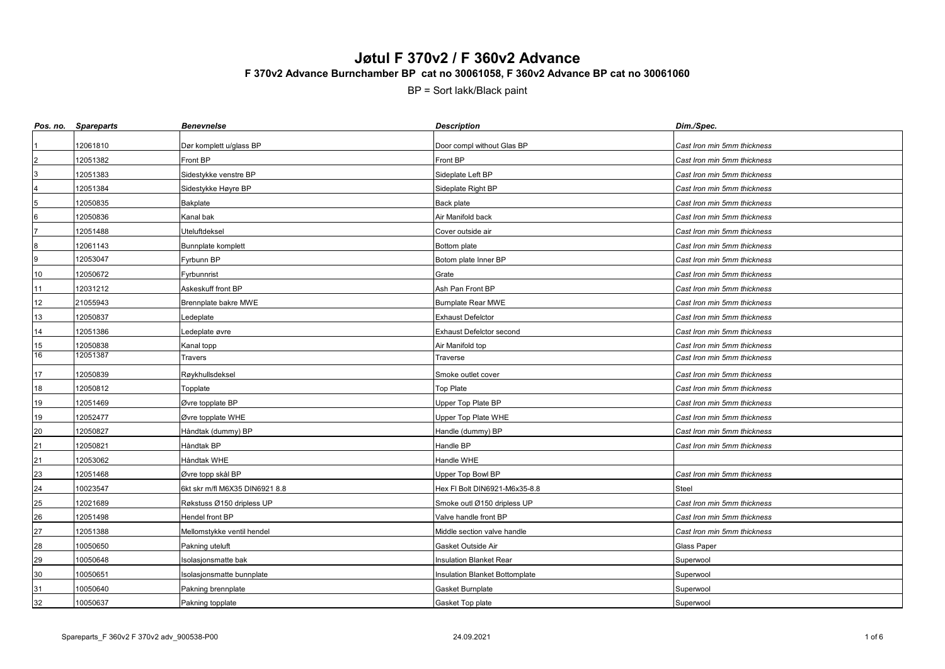|                 | Pos. no. Spareparts | <b>Benevnelse</b>              | <b>Description</b>                    | Dim./Spec.                  |
|-----------------|---------------------|--------------------------------|---------------------------------------|-----------------------------|
|                 | 12061810            | Dør komplett u/glass BP        | Door compl without Glas BP            | Cast Iron min 5mm thickness |
|                 | 12051382            | Front BP                       | Front BP                              | Cast Iron min 5mm thickness |
|                 | 12051383            | Sidestykke venstre BP          | Sideplate Left BP                     | Cast Iron min 5mm thickness |
|                 | 12051384            | Sidestykke Høyre BP            | Sideplate Right BP                    | Cast Iron min 5mm thickness |
|                 | 12050835            | Bakplate                       | Back plate                            | Cast Iron min 5mm thickness |
| $6\phantom{.}6$ | 12050836            | Kanal bak                      | Air Manifold back                     | Cast Iron min 5mm thickness |
|                 | 12051488            | Uteluftdeksel                  | Cover outside air                     | Cast Iron min 5mm thickness |
| $\bf8$          | 12061143            | Bunnplate komplett             | Bottom plate                          | Cast Iron min 5mm thickness |
| 9               | 12053047            | Fyrbunn BP                     | Botom plate Inner BP                  | Cast Iron min 5mm thickness |
| 10              | 12050672            | Fyrbunnrist                    | Grate                                 | Cast Iron min 5mm thickness |
| 11              | 12031212            | Askeskuff front BP             | Ash Pan Front BP                      | Cast Iron min 5mm thickness |
| 12              | 21055943            | Brennplate bakre MWE           | <b>Burnplate Rear MWE</b>             | Cast Iron min 5mm thickness |
| 13              | 12050837            | Ledeplate                      | <b>Exhaust Defelctor</b>              | Cast Iron min 5mm thickness |
| 14              | 12051386            | Ledeplate øvre                 | <b>Exhaust Defelctor second</b>       | Cast Iron min 5mm thickness |
| $\frac{15}{16}$ | 12050838            | Kanal topp                     | Air Manifold top                      | Cast Iron min 5mm thickness |
|                 | 12051387            | Travers                        | Traverse                              | Cast Iron min 5mm thickness |
| 17              | 12050839            | Røykhullsdeksel                | Smoke outlet cover                    | Cast Iron min 5mm thickness |
| $18$            | 12050812            | Topplate                       | Top Plate                             | Cast Iron min 5mm thickness |
| 19              | 12051469            | Øvre topplate BP               | Upper Top Plate BP                    | Cast Iron min 5mm thickness |
| 19              | 12052477            | Øvre topplate WHE              | Upper Top Plate WHE                   | Cast Iron min 5mm thickness |
| 20              | 12050827            | Håndtak (dummy) BP             | Handle (dummy) BP                     | Cast Iron min 5mm thickness |
| 21              | 12050821            | Håndtak BP                     | Handle BP                             | Cast Iron min 5mm thickness |
| 21              | 12053062            | Håndtak WHE                    | Handle WHE                            |                             |
| 23              | 12051468            | Øvre topp skål BP              | Upper Top Bowl BP                     | Cast Iron min 5mm thickness |
| 24              | 10023547            | 6kt skr m/fl M6X35 DIN6921 8.8 | Hex FI Bolt DIN6921-M6x35-8.8         | <b>Steel</b>                |
| 25              | 12021689            | Røkstuss Ø150 dripless UP      | Smoke outl Ø150 dripless UP           | Cast Iron min 5mm thickness |
| 26              | 12051498            | Hendel front BP                | Valve handle front BP                 | Cast Iron min 5mm thickness |
| 27              | 12051388            | Mellomstykke ventil hendel     | Middle section valve handle           | Cast Iron min 5mm thickness |
| 28              | 10050650            | Pakning uteluft                | Gasket Outside Air                    | <b>Glass Paper</b>          |
| 29              | 10050648            | Isolasjonsmatte bak            | <b>Insulation Blanket Rear</b>        | Superwool                   |
| $30\,$          | 10050651            | Isolasjonsmatte bunnplate      | <b>Insulation Blanket Bottomplate</b> | Superwool                   |
| 31              | 10050640            | Pakning brennplate             | Gasket Burnplate                      | Superwool                   |
| 32              | 10050637            | Pakning topplate               | Gasket Top plate                      | Superwool                   |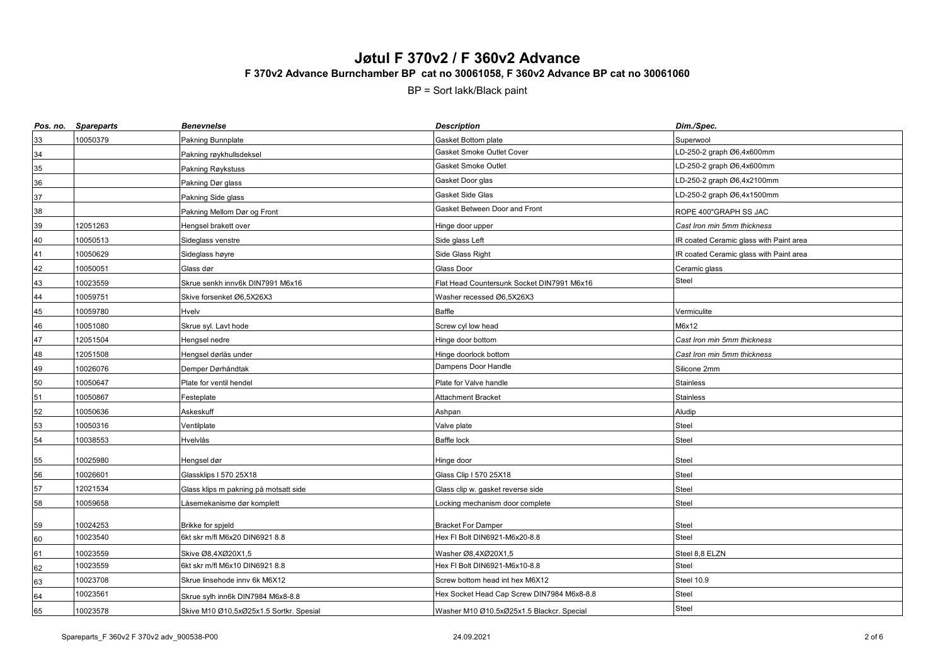|    | Pos. no. Spareparts | <b>Benevnelse</b>                       | <b>Description</b>                         | Dim./Spec.                              |
|----|---------------------|-----------------------------------------|--------------------------------------------|-----------------------------------------|
| 33 | 10050379            | Pakning Bunnplate                       | Gasket Bottom plate                        | Superwool                               |
| 34 |                     | Pakning røykhullsdeksel                 | Gasket Smoke Outlet Cover                  | LD-250-2 graph Ø6,4x600mm               |
| 35 |                     | Pakning Røykstuss                       | Gasket Smoke Outlet                        | LD-250-2 graph Ø6,4x600mm               |
| 36 |                     | Pakning Dør glass                       | Gasket Door glas                           | LD-250-2 graph Ø6,4x2100mm              |
| 37 |                     | Pakning Side glass                      | Gasket Side Glas                           | LD-250-2 graph Ø6,4x1500mm              |
| 38 |                     | Pakning Mellom Dør og Front             | Gasket Between Door and Front              | ROPE 400"GRAPH SS JAC                   |
| 39 | 12051263            | Hengsel brakett over                    | Hinge door upper                           | Cast Iron min 5mm thickness             |
| 40 | 10050513            | Sideglass venstre                       | Side glass Left                            | IR coated Ceramic glass with Paint area |
| 41 | 10050629            | Sideglass høyre                         | Side Glass Right                           | IR coated Ceramic glass with Paint area |
| 42 | 10050051            | Glass dør                               | Glass Door                                 | Ceramic glass                           |
| 43 | 10023559            | Skrue senkh innv6k DIN7991 M6x16        | Flat Head Countersunk Socket DIN7991 M6x16 | Steel                                   |
| 44 | 10059751            | Skive forsenket Ø6,5X26X3               | Washer recessed Ø6,5X26X3                  |                                         |
| 45 | 10059780            | Hvelv                                   | <b>Baffle</b>                              | Vermiculite                             |
| 46 | 10051080            | Skrue syl. Lavt hode                    | Screw cyl low head                         | M6x12                                   |
| 47 | 12051504            | Hengsel nedre                           | Hinge door bottom                          | Cast Iron min 5mm thickness             |
| 48 | 12051508            | Hengsel dørlås under                    | Hinge doorlock bottom                      | Cast Iron min 5mm thickness             |
| 49 | 10026076            | Demper Dørhåndtak                       | Dampens Door Handle                        | Silicone 2mm                            |
| 50 | 10050647            | Plate for ventil hendel                 | Plate for Valve handle                     | <b>Stainless</b>                        |
| 51 | 10050867            | Festeplate                              | Attachment Bracket                         | <b>Stainless</b>                        |
| 52 | 10050636            | Askeskuff                               | Ashpan                                     | Aludip                                  |
| 53 | 10050316            | Ventilplate                             | Valve plate                                | <b>Steel</b>                            |
| 54 | 10038553            | Hvelvlås                                | Baffle lock                                | <b>Steel</b>                            |
| 55 | 10025980            | Hengsel dør                             | Hinge door                                 | <b>Steel</b>                            |
| 56 | 10026601            | Glassklips I 570 25X18                  | Glass Clip I 570 25X18                     | <b>Steel</b>                            |
| 57 | 12021534            | Glass klips m pakning på motsatt side   | Glass clip w. gasket reverse side          | Steel                                   |
| 58 | 10059658            | Låsemekanisme dør komplett              | ocking mechanism door complete             | Steel                                   |
| 59 | 10024253            | Brikke for spjeld                       | <b>Bracket For Damper</b>                  | <b>Steel</b>                            |
| 60 | 10023540            | 6kt skr m/fl M6x20 DIN6921 8.8          | Hex FI Bolt DIN6921-M6x20-8.8              | <b>Steel</b>                            |
| 61 | 10023559            | Skive Ø8,4XØ20X1,5                      | Washer Ø8,4XØ20X1,5                        | Steel 8,8 ELZN                          |
| 62 | 10023559            | 6kt skr m/fl M6x10 DIN6921 8.8          | Hex FI Bolt DIN6921-M6x10-8.8              | Steel                                   |
| 63 | 10023708            | Skrue linsehode inny 6k M6X12           | Screw bottom head int hex M6X12            | Steel 10.9                              |
| 64 | 10023561            | Skrue sylh inn6k DIN7984 M6x8-8.8       | Hex Socket Head Cap Screw DIN7984 M6x8-8.8 | <b>Steel</b>                            |
| 65 | 10023578            | Skive M10 Ø10,5xØ25x1.5 Sortkr. Spesial | Washer M10 Ø10.5xØ25x1.5 Blackcr. Special  | <b>Steel</b>                            |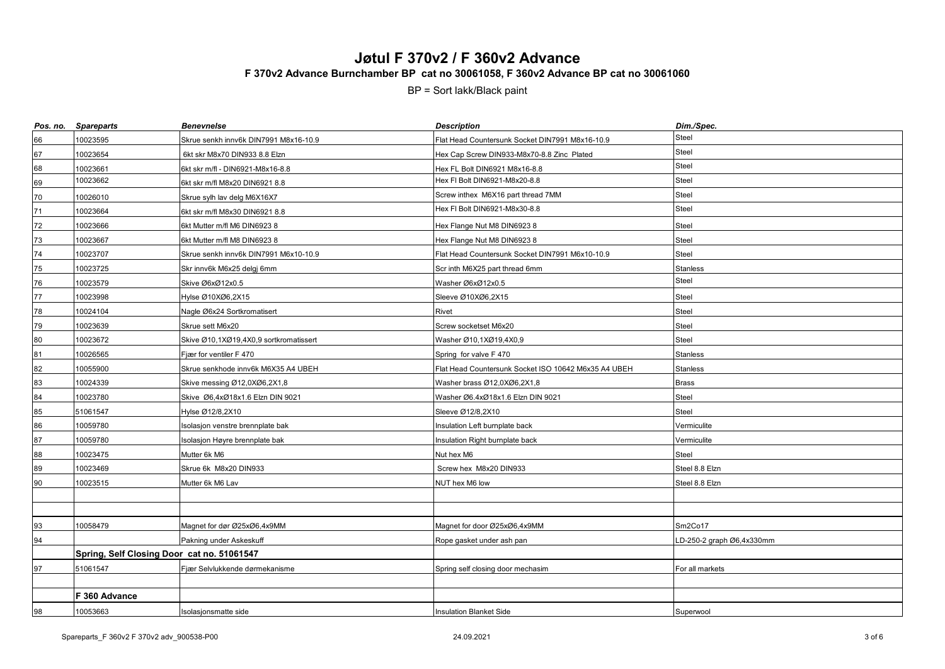| Pos. no. | <b>Spareparts</b>                          | <b>Benevnelse</b>                      | <b>Description</b>                                   | Dim./Spec.                |
|----------|--------------------------------------------|----------------------------------------|------------------------------------------------------|---------------------------|
| 66       | 10023595                                   | Skrue senkh innv6k DIN7991 M8x16-10.9  | Flat Head Countersunk Socket DIN7991 M8x16-10.9      | Steel                     |
| 67       | 10023654                                   | 6kt skr M8x70 DIN933 8.8 Elzn          | Hex Cap Screw DIN933-M8x70-8.8 Zinc Plated           | Steel                     |
| 68       | 10023661                                   | 6kt skr m/fl - DIN6921-M8x16-8.8       | Hex FL Bolt DIN6921 M8x16-8.8                        | Steel                     |
| 69       | 10023662                                   | 6kt skr m/fl M8x20 DIN6921 8.8         | Hex FI Bolt DIN6921-M8x20-8.8                        | <b>Steel</b>              |
| 70       | 10026010                                   | Skrue sylh lav delg M6X16X7            | Screw inthex M6X16 part thread 7MM                   | Steel                     |
| 71       | 10023664                                   | 6kt skr m/fl M8x30 DIN6921 8.8         | Hex FI Bolt DIN6921-M8x30-8.8                        | Steel                     |
| 72       | 10023666                                   | 6kt Mutter m/fl M6 DIN6923 8           | Hex Flange Nut M8 DIN6923 8                          | Steel                     |
| 73       | 10023667                                   | 6kt Mutter m/fl M8 DIN6923 8           | Hex Flange Nut M8 DIN6923 8                          | Steel                     |
| 74       | 10023707                                   | Skrue senkh innv6k DIN7991 M6x10-10.9  | Flat Head Countersunk Socket DIN7991 M6x10-10.9      | Steel                     |
| 75       | 10023725                                   | Skr innv6k M6x25 delgj 6mm             | Scr inth M6X25 part thread 6mm                       | Stanless                  |
| 76       | 10023579                                   | Skive Ø6xØ12x0.5                       | Washer Ø6xØ12x0.5                                    | <b>Steel</b>              |
| 77       | 10023998                                   | Hylse Ø10XØ6,2X15                      | Sleeve Ø10XØ6,2X15                                   | <b>Steel</b>              |
| 78       | 10024104                                   | Nagle Ø6x24 Sortkromatisert            | Rivet                                                | Steel                     |
| 79       | 10023639                                   | Skrue sett M6x20                       | Screw socketset M6x20                                | Steel                     |
| 80       | 10023672                                   | Skive Ø10,1XØ19,4X0,9 sortkromatissert | Washer Ø10,1XØ19,4X0,9                               | <b>Steel</b>              |
| 81       | 10026565                                   | Fjær for ventiler F 470                | Spring for valve F 470                               | Stanless                  |
| 82       | 10055900                                   | Skrue senkhode innv6k M6X35 A4 UBEH    | Flat Head Countersunk Socket ISO 10642 M6x35 A4 UBEH | <b>Stanless</b>           |
| 83       | 10024339                                   | Skive messing Ø12,0XØ6,2X1,8           | Washer brass Ø12,0XØ6,2X1,8                          | <b>Brass</b>              |
| 84       | 10023780                                   | Skive Ø6,4xØ18x1.6 Elzn DIN 9021       | Washer Ø6.4xØ18x1.6 Elzn DIN 9021                    | <b>Steel</b>              |
| 85       | 51061547                                   | Hylse Ø12/8,2X10                       | Sleeve Ø12/8,2X10                                    | <b>Steel</b>              |
| 86       | 10059780                                   | solasjon venstre brennplate bak        | Insulation Left burnplate back                       | Vermiculite               |
| 87       | 10059780                                   | solasjon Høyre brennplate bak          | Insulation Right burnplate back                      | Vermiculite               |
| 88       | 10023475                                   | Mutter 6k M6                           | Nut hex M6                                           | Steel                     |
| 89       | 10023469                                   | Skrue 6k M8x20 DIN933                  | Screw hex M8x20 DIN933                               | Steel 8.8 Elzn            |
| 90       | 10023515                                   | Mutter 6k M6 Lav                       | NUT hex M6 low                                       | Steel 8.8 Elzn            |
|          |                                            |                                        |                                                      |                           |
|          |                                            |                                        |                                                      |                           |
| 93       | 10058479                                   | Magnet for dør Ø25xØ6,4x9MM            | Magnet for door Ø25xØ6,4x9MM                         | Sm2Co17                   |
| 94       |                                            | Pakning under Askeskuff                | Rope gasket under ash pan                            | LD-250-2 graph Ø6,4x330mm |
|          | Spring, Self Closing Door cat no. 51061547 |                                        |                                                      |                           |
| 97       | 51061547                                   | Fjær Selvlukkende dørmekanisme         | Spring self closing door mechasim                    | For all markets           |
|          |                                            |                                        |                                                      |                           |
|          | F 360 Advance                              |                                        |                                                      |                           |
| 98       | 10053663                                   | Isolasjonsmatte side                   | <b>Insulation Blanket Side</b>                       | Superwool                 |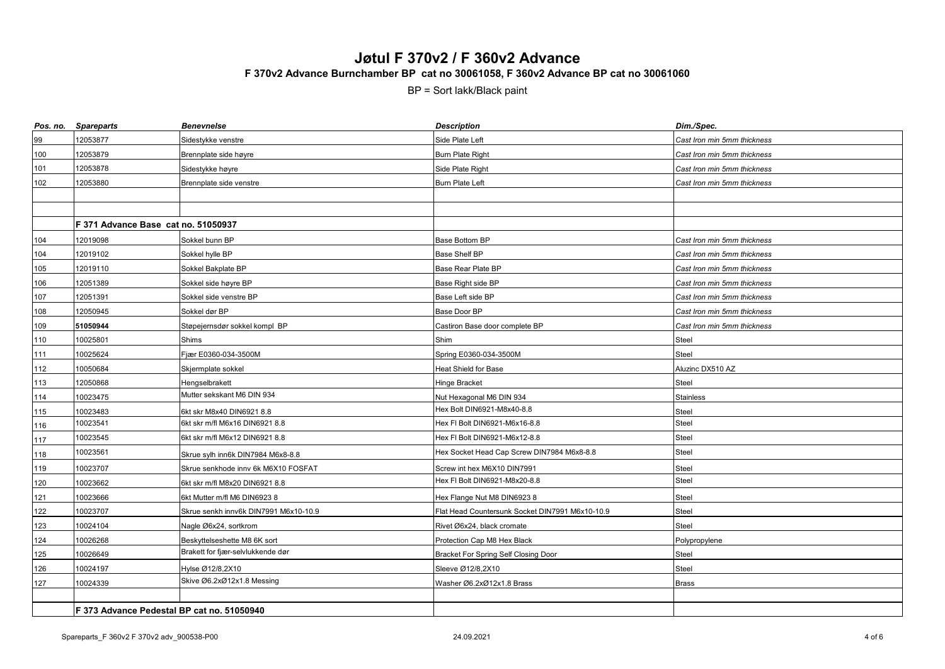| Pos. no. | <b>Spareparts</b>                          | <b>Benevnelse</b>                     | <b>Description</b>                              | Dim./Spec.                  |
|----------|--------------------------------------------|---------------------------------------|-------------------------------------------------|-----------------------------|
| 99       | 12053877                                   | Sidestykke venstre                    | Side Plate Left                                 | Cast Iron min 5mm thickness |
| 100      | 12053879                                   | Brennplate side høyre                 | <b>Burn Plate Right</b>                         | Cast Iron min 5mm thickness |
| 101      | 12053878                                   | Sidestykke høyre                      | Side Plate Right                                | Cast Iron min 5mm thickness |
| 102      | 12053880                                   | Brennplate side venstre               | <b>Burn Plate Left</b>                          | Cast Iron min 5mm thickness |
|          |                                            |                                       |                                                 |                             |
|          |                                            |                                       |                                                 |                             |
|          | F 371 Advance Base cat no. 51050937        |                                       |                                                 |                             |
| 104      | 12019098                                   | Sokkel bunn BP                        | Base Bottom BP                                  | Cast Iron min 5mm thickness |
| 104      | 12019102                                   | Sokkel hylle BP                       | Base Shelf BP                                   | Cast Iron min 5mm thickness |
| 105      | 12019110                                   | Sokkel Bakplate BP                    | Base Rear Plate BP                              | Cast Iron min 5mm thickness |
| 106      | 12051389                                   | Sokkel side høyre BP                  | Base Right side BP                              | Cast Iron min 5mm thickness |
| 107      | 12051391                                   | Sokkel side venstre BP                | Base Left side BP                               | Cast Iron min 5mm thickness |
| 108      | 12050945                                   | Sokkel dør BP                         | Base Door BP                                    | Cast Iron min 5mm thickness |
| 109      | 51050944                                   | Støpejernsdør sokkel kompl BP         | Castiron Base door complete BP                  | Cast Iron min 5mm thickness |
| 110      | 10025801                                   | Shims                                 | Shim                                            | <b>Steel</b>                |
| 111      | 10025624                                   | Fjær E0360-034-3500M                  | Spring E0360-034-3500M                          | Steel                       |
| 112      | 10050684                                   | Skjermplate sokkel                    | Heat Shield for Base                            | Aluzinc DX510 AZ            |
| 113      | 12050868                                   | Hengselbrakett                        | Hinge Bracket                                   | <b>Steel</b>                |
| 114      | 10023475                                   | Mutter sekskant M6 DIN 934            | Nut Hexagonal M6 DIN 934                        | <b>Stainless</b>            |
| 115      | 10023483                                   | 6kt skr M8x40 DIN6921 8.8             | Hex Bolt DIN6921-M8x40-8.8                      | Steel                       |
| 116      | 10023541                                   | 6kt skr m/fl M6x16 DIN6921 8.8        | Hex FI Bolt DIN6921-M6x16-8.8                   | Steel                       |
| 117      | 10023545                                   | 6kt skr m/fl M6x12 DIN6921 8.8        | Hex FI Bolt DIN6921-M6x12-8.8                   | <b>Steel</b>                |
| 118      | 10023561                                   | Skrue sylh inn6k DIN7984 M6x8-8.8     | Hex Socket Head Cap Screw DIN7984 M6x8-8.8      | <b>Steel</b>                |
| 119      | 10023707                                   | Skrue senkhode innv 6k M6X10 FOSFAT   | Screw int hex M6X10 DIN7991                     | <b>Steel</b>                |
| 120      | 10023662                                   | 6kt skr m/fl M8x20 DIN6921 8.8        | Hex FI Bolt DIN6921-M8x20-8.8                   | <b>Steel</b>                |
| 121      | 10023666                                   | 6kt Mutter m/fl M6 DIN6923 8          | Hex Flange Nut M8 DIN6923 8                     | <b>Steel</b>                |
| 122      | 10023707                                   | Skrue senkh innv6k DIN7991 M6x10-10.9 | Flat Head Countersunk Socket DIN7991 M6x10-10.9 | Steel                       |
| 123      | 10024104                                   | Nagle Ø6x24, sortkrom                 | Rivet Ø6x24, black cromate                      | Steel                       |
| 124      | 10026268                                   | Beskyttelseshette M8 6K sort          | Protection Cap M8 Hex Black                     | Polypropylene               |
| 125      | 10026649                                   | Brakett for fjær-selvlukkende dør     | Bracket For Spring Self Closing Door            | <b>Steel</b>                |
| 126      | 10024197                                   | Hylse Ø12/8,2X10                      | Sleeve Ø12/8,2X10                               | Steel                       |
| $127\,$  | 10024339                                   | Skive Ø6.2xØ12x1.8 Messing            | Washer Ø6.2xØ12x1.8 Brass                       | <b>Brass</b>                |
|          |                                            |                                       |                                                 |                             |
|          | F 373 Advance Pedestal BP cat no. 51050940 |                                       |                                                 |                             |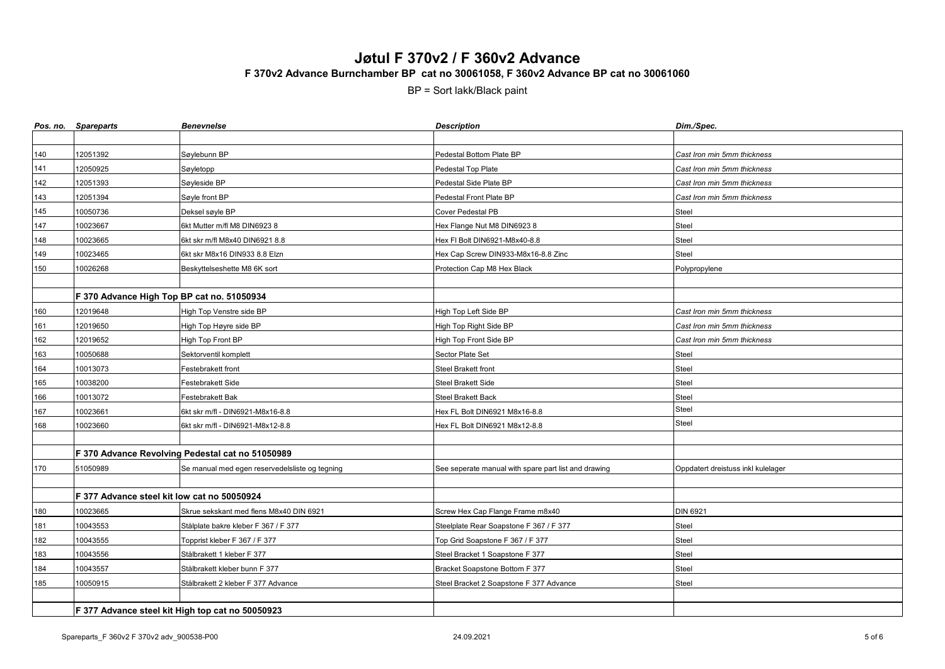|     | Pos. no. Spareparts                              | <b>Benevnelse</b>                                | <b>Description</b>                                   | Dim./Spec.                         |
|-----|--------------------------------------------------|--------------------------------------------------|------------------------------------------------------|------------------------------------|
|     |                                                  |                                                  |                                                      |                                    |
| 140 | 12051392                                         | Søylebunn BP                                     | Pedestal Bottom Plate BP                             | Cast Iron min 5mm thickness        |
| 141 | 12050925                                         | Søyletopp                                        | Pedestal Top Plate                                   | Cast Iron min 5mm thickness        |
| 142 | 12051393                                         | Søyleside BP                                     | Pedestal Side Plate BP                               | Cast Iron min 5mm thickness        |
| 143 | 12051394                                         | Søyle front BP                                   | Pedestal Front Plate BP                              | Cast Iron min 5mm thickness        |
| 145 | 10050736                                         | Deksel søyle BP                                  | Cover Pedestal PB                                    | Steel                              |
| 147 | 10023667                                         | 6kt Mutter m/fl M8 DIN6923 8                     | Hex Flange Nut M8 DIN6923 8                          | Steel                              |
| 148 | 10023665                                         | 6kt skr m/fl M8x40 DIN6921 8.8                   | Hex FI Bolt DIN6921-M8x40-8.8                        | Steel                              |
| 149 | 10023465                                         | 6kt skr M8x16 DIN933 8.8 Elzn                    | Hex Cap Screw DIN933-M8x16-8.8 Zinc                  | <b>Steel</b>                       |
| 150 | 10026268                                         | Beskyttelseshette M8 6K sort                     | Protection Cap M8 Hex Black                          | Polypropylene                      |
|     |                                                  |                                                  |                                                      |                                    |
|     | F 370 Advance High Top BP cat no. 51050934       |                                                  |                                                      |                                    |
| 160 | 12019648                                         | High Top Venstre side BP                         | High Top Left Side BP                                | Cast Iron min 5mm thickness        |
| 161 | 12019650                                         | High Top Høyre side BP                           | High Top Right Side BP                               | Cast Iron min 5mm thickness        |
| 162 | 12019652                                         | High Top Front BP                                | High Top Front Side BP                               | Cast Iron min 5mm thickness        |
| 163 | 10050688                                         | Sektorventil komplett                            | Sector Plate Set                                     | <b>Steel</b>                       |
| 164 | 10013073                                         | Festebrakett front                               | <b>Steel Brakett front</b>                           | <b>Steel</b>                       |
| 165 | 10038200                                         | Festebrakett Side                                | Steel Brakett Side                                   | Steel                              |
| 166 | 10013072                                         | Festebrakett Bak                                 | Steel Brakett Back                                   | <b>Steel</b>                       |
| 167 | 10023661                                         | 6kt skr m/fl - DIN6921-M8x16-8.8                 | Hex FL Bolt DIN6921 M8x16-8.8                        | Steel                              |
| 168 | 10023660                                         | 6kt skr m/fl - DIN6921-M8x12-8.8                 | Hex FL Bolt DIN6921 M8x12-8.8                        | <b>Steel</b>                       |
|     |                                                  |                                                  |                                                      |                                    |
|     |                                                  | F 370 Advance Revolving Pedestal cat no 51050989 |                                                      |                                    |
| 170 | 51050989                                         | Se manual med egen reservedelsliste og tegning   | See seperate manual with spare part list and drawing | Oppdatert dreistuss inkl kulelager |
|     |                                                  |                                                  |                                                      |                                    |
|     | F 377 Advance steel kit low cat no 50050924      |                                                  |                                                      |                                    |
| 180 | 10023665                                         | Skrue sekskant med flens M8x40 DIN 6921          | Screw Hex Cap Flange Frame m8x40                     | <b>DIN 6921</b>                    |
| 181 | 10043553                                         | Stålplate bakre kleber F 367 / F 377             | Steelplate Rear Soapstone F 367 / F 377              | Steel                              |
| 182 | 10043555                                         | Topprist kleber F 367 / F 377                    | Top Grid Soapstone F 367 / F 377                     | <b>Steel</b>                       |
| 183 | 10043556                                         | Stålbrakett 1 kleber F 377                       | Steel Bracket 1 Soapstone F 377                      | <b>Steel</b>                       |
| 184 | 10043557                                         | Stålbrakett kleber bunn F 377                    | Bracket Soapstone Bottom F 377                       | <b>Steel</b>                       |
| 185 | 10050915                                         | Stålbrakett 2 kleber F 377 Advance               | Steel Bracket 2 Soapstone F 377 Advance              | Steel                              |
|     |                                                  |                                                  |                                                      |                                    |
|     | F 377 Advance steel kit High top cat no 50050923 |                                                  |                                                      |                                    |